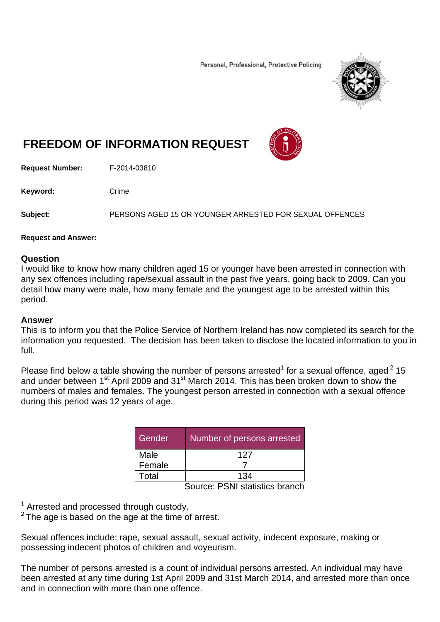Personal, Professional, Protective Policing



## **FREEDOM OF INFORMATION REQUEST**

**Request Number:** F-2014-03810

Keyword: Crime

**Subject:** PERSONS AGED 15 OR YOUNGER ARRESTED FOR SEXUAL OFFENCES

## **Request and Answer:**

## **Question**

I would like to know how many children aged 15 or younger have been arrested in connection with any sex offences including rape/sexual assault in the past five years, going back to 2009. Can you detail how many were male, how many female and the youngest age to be arrested within this period.

## **Answer**

This is to inform you that the Police Service of Northern Ireland has now completed its search for the information you requested. The decision has been taken to disclose the located information to you in full.

Please find below a table showing the number of persons arrested<sup>1</sup> for a sexual offence, aged  $2$  15 and under between 1<sup>st</sup> April 2009 and 31<sup>st</sup> March 2014. This has been broken down to show the numbers of males and females. The youngest person arrested in connection with a sexual offence during this period was 12 years of age.

| Gender | Number of persons arrested |
|--------|----------------------------|
| Male   | 127                        |
| Female |                            |
| Total  | 134                        |

Source: PSNI statistics branch

<sup>1</sup> Arrested and processed through custody.

 $2$  The age is based on the age at the time of arrest.

Sexual offences include: rape, sexual assault, sexual activity, indecent exposure, making or possessing indecent photos of children and voyeurism.

The number of persons arrested is a count of individual persons arrested. An individual may have been arrested at any time during 1st April 2009 and 31st March 2014, and arrested more than once and in connection with more than one offence.